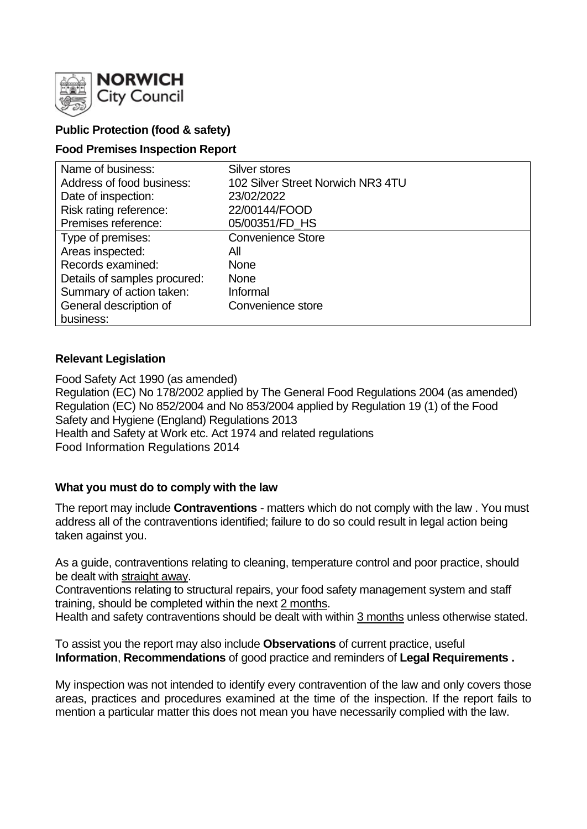

# **Public Protection (food & safety)**

### **Food Premises Inspection Report**

| Name of business:            | Silver stores                     |
|------------------------------|-----------------------------------|
| Address of food business:    | 102 Silver Street Norwich NR3 4TU |
| Date of inspection:          | 23/02/2022                        |
| Risk rating reference:       | 22/00144/FOOD                     |
| Premises reference:          | 05/00351/FD_HS                    |
| Type of premises:            | <b>Convenience Store</b>          |
| Areas inspected:             | All                               |
| Records examined:            | <b>None</b>                       |
| Details of samples procured: | <b>None</b>                       |
| Summary of action taken:     | Informal                          |
| General description of       | Convenience store                 |
| business:                    |                                   |

### **Relevant Legislation**

Food Safety Act 1990 (as amended) Regulation (EC) No 178/2002 applied by The General Food Regulations 2004 (as amended) Regulation (EC) No 852/2004 and No 853/2004 applied by Regulation 19 (1) of the Food Safety and Hygiene (England) Regulations 2013 Health and Safety at Work etc. Act 1974 and related regulations Food Information Regulations 2014

# **What you must do to comply with the law**

The report may include **Contraventions** - matters which do not comply with the law . You must address all of the contraventions identified; failure to do so could result in legal action being taken against you.

As a guide, contraventions relating to cleaning, temperature control and poor practice, should be dealt with straight away.

Contraventions relating to structural repairs, your food safety management system and staff training, should be completed within the next 2 months.

Health and safety contraventions should be dealt with within 3 months unless otherwise stated.

To assist you the report may also include **Observations** of current practice, useful **Information**, **Recommendations** of good practice and reminders of **Legal Requirements .**

My inspection was not intended to identify every contravention of the law and only covers those areas, practices and procedures examined at the time of the inspection. If the report fails to mention a particular matter this does not mean you have necessarily complied with the law.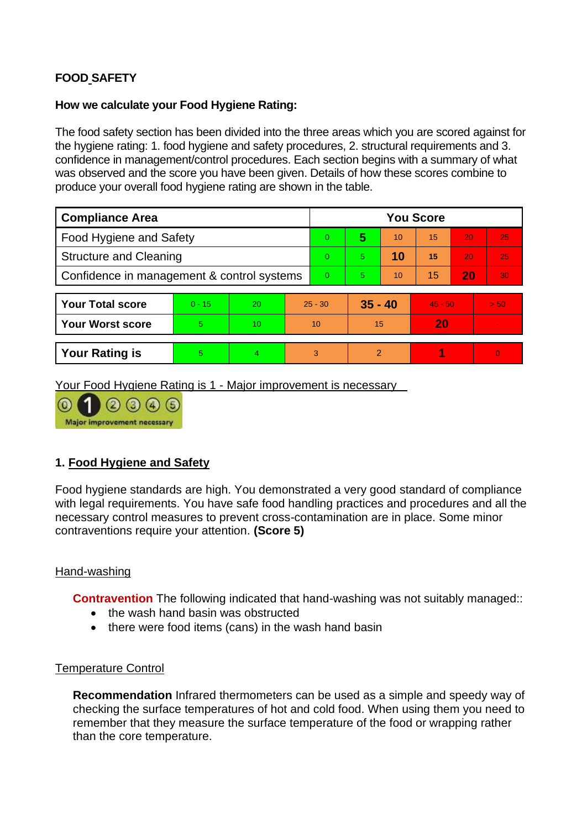# **FOOD SAFETY**

### **How we calculate your Food Hygiene Rating:**

The food safety section has been divided into the three areas which you are scored against for the hygiene rating: 1. food hygiene and safety procedures, 2. structural requirements and 3. confidence in management/control procedures. Each section begins with a summary of what was observed and the score you have been given. Details of how these scores combine to produce your overall food hygiene rating are shown in the table.

| <b>Compliance Area</b>                     |          |    |          | <b>You Score</b> |           |    |           |    |                          |  |
|--------------------------------------------|----------|----|----------|------------------|-----------|----|-----------|----|--------------------------|--|
| <b>Food Hygiene and Safety</b>             |          |    |          | $\Omega$         | 5         | 10 | 15        | 20 | 25                       |  |
| <b>Structure and Cleaning</b>              |          |    |          | $\Omega$         | 5.        | 10 | 15        | 20 | 25                       |  |
| Confidence in management & control systems |          |    | $\Omega$ | 5.               | 10        | 15 | 20        | 30 |                          |  |
|                                            |          |    |          |                  |           |    |           |    |                          |  |
| <b>Your Total score</b>                    | $0 - 15$ | 20 |          | $25 - 30$        | $35 - 40$ |    | $45 - 50$ |    | > 50                     |  |
| <b>Your Worst score</b>                    | 5        | 10 | 10       |                  | 15        |    | 20        |    | $\overline{\phantom{a}}$ |  |
|                                            |          |    |          |                  |           |    |           |    |                          |  |
| <b>Your Rating is</b>                      | 5        | 4  |          | 3                | 2         |    |           |    | $\overline{0}$           |  |

Your Food Hygiene Rating is 1 - Major improvement is necessary

Major improvement necessary

### **1. Food Hygiene and Safety**

Food hygiene standards are high. You demonstrated a very good standard of compliance with legal requirements. You have safe food handling practices and procedures and all the necessary control measures to prevent cross-contamination are in place. Some minor contraventions require your attention. **(Score 5)**

### Hand-washing

**Contravention** The following indicated that hand-washing was not suitably managed::

- the wash hand basin was obstructed
- there were food items (cans) in the wash hand basin

### Temperature Control

**Recommendation** Infrared thermometers can be used as a simple and speedy way of checking the surface temperatures of hot and cold food. When using them you need to remember that they measure the surface temperature of the food or wrapping rather than the core temperature.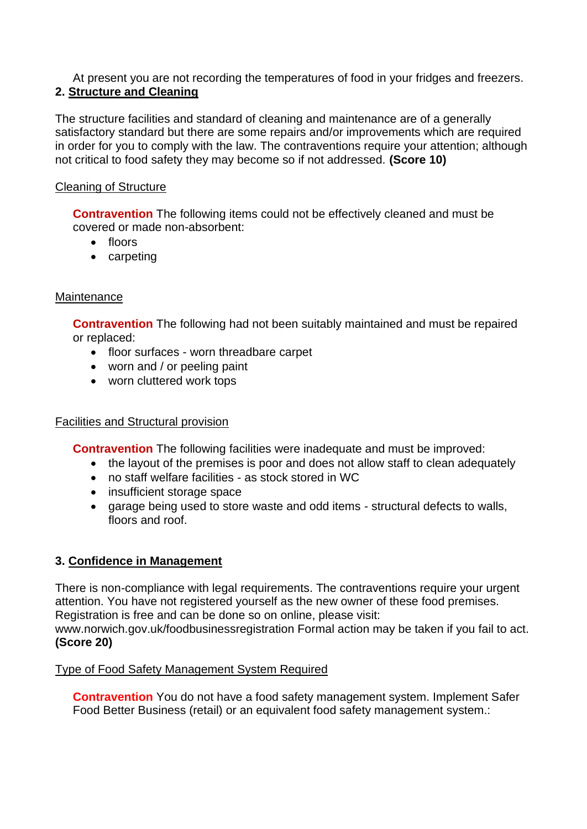At present you are not recording the temperatures of food in your fridges and freezers. **2. Structure and Cleaning**

The structure facilities and standard of cleaning and maintenance are of a generally satisfactory standard but there are some repairs and/or improvements which are required in order for you to comply with the law. The contraventions require your attention; although not critical to food safety they may become so if not addressed. **(Score 10)**

### Cleaning of Structure

**Contravention** The following items could not be effectively cleaned and must be covered or made non-absorbent:

- floors
- carpeting

### **Maintenance**

**Contravention** The following had not been suitably maintained and must be repaired or replaced:

- floor surfaces worn threadbare carpet
- worn and / or peeling paint
- worn cluttered work tops

### Facilities and Structural provision

**Contravention** The following facilities were inadequate and must be improved:

- the layout of the premises is poor and does not allow staff to clean adequately
- no staff welfare facilities as stock stored in WC
- insufficient storage space
- garage being used to store waste and odd items structural defects to walls, floors and roof.

# **3. Confidence in Management**

There is non-compliance with legal requirements. The contraventions require your urgent attention. You have not registered yourself as the new owner of these food premises. Registration is free and can be done so on online, please visit: www.norwich.gov.uk/foodbusinessregistration Formal action may be taken if you fail to act. **(Score 20)**

### Type of Food Safety Management System Required

**Contravention** You do not have a food safety management system. Implement Safer Food Better Business (retail) or an equivalent food safety management system.: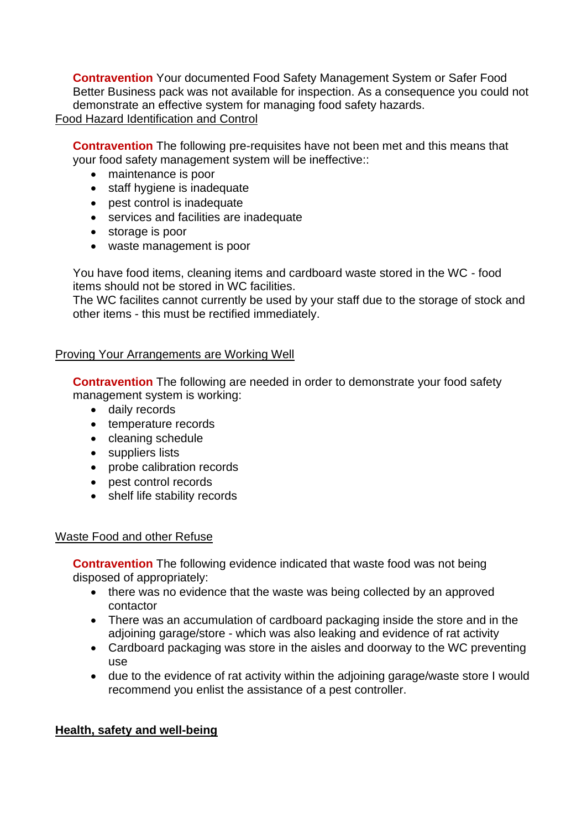**Contravention** Your documented Food Safety Management System or Safer Food Better Business pack was not available for inspection. As a consequence you could not demonstrate an effective system for managing food safety hazards. Food Hazard Identification and Control

**Contravention** The following pre-requisites have not been met and this means that your food safety management system will be ineffective::

- maintenance is poor
- staff hygiene is inadequate
- pest control is inadequate
- services and facilities are inadequate
- storage is poor
- waste management is poor

You have food items, cleaning items and cardboard waste stored in the WC - food items should not be stored in WC facilities.

The WC facilites cannot currently be used by your staff due to the storage of stock and other items - this must be rectified immediately.

### **Proving Your Arrangements are Working Well**

**Contravention** The following are needed in order to demonstrate your food safety management system is working:

- daily records
- temperature records
- cleaning schedule
- suppliers lists
- probe calibration records
- pest control records
- shelf life stability records

### Waste Food and other Refuse

**Contravention** The following evidence indicated that waste food was not being disposed of appropriately:

- there was no evidence that the waste was being collected by an approved contactor
- There was an accumulation of cardboard packaging inside the store and in the adjoining garage/store - which was also leaking and evidence of rat activity
- Cardboard packaging was store in the aisles and doorway to the WC preventing use
- due to the evidence of rat activity within the adjoining garage/waste store I would recommend you enlist the assistance of a pest controller.

### **Health, safety and well-being**